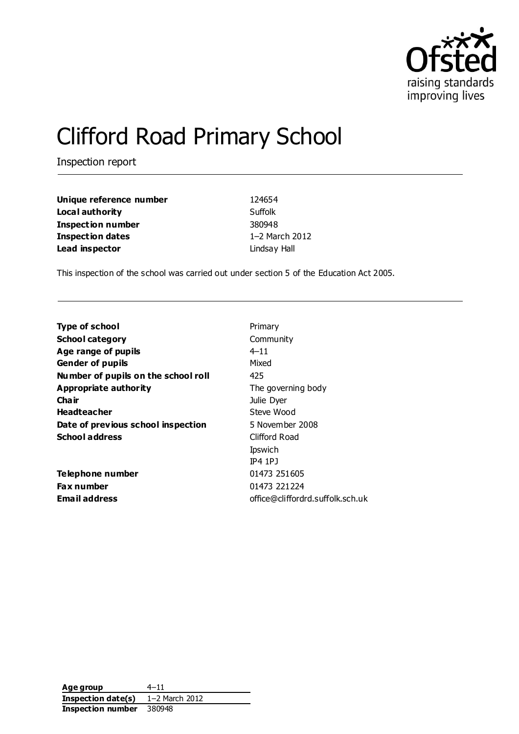

# Clifford Road Primary School

Inspection report

| Unique reference number  | 124654         |
|--------------------------|----------------|
| Local authority          | Suffolk        |
| <b>Inspection number</b> | 380948         |
| Inspection dates         | 1-2 March 2012 |
| Lead inspector           | Lindsay Hall   |

This inspection of the school was carried out under section 5 of the Education Act 2005.

| <b>Type of school</b>               | Primary                          |
|-------------------------------------|----------------------------------|
| <b>School category</b>              | Community                        |
| Age range of pupils                 | 4–11                             |
| <b>Gender of pupils</b>             | Mixed                            |
| Number of pupils on the school roll | 425                              |
| Appropriate authority               | The governing body               |
| Cha ir                              | Julie Dyer                       |
| <b>Headteacher</b>                  | Steve Wood                       |
| Date of previous school inspection  | 5 November 2008                  |
| <b>School address</b>               | Clifford Road                    |
|                                     | Ipswich                          |
|                                     | $IP4$ $IPJ$                      |
| Telephone number                    | 01473 251605                     |
| <b>Fax number</b>                   | 01473 221224                     |
| <b>Email address</b>                | office@cliffordrd.suffolk.sch.uk |
|                                     |                                  |

**Age group** 4–11 **Inspection date(s)** 1–2 March 2012 **Inspection number** 380948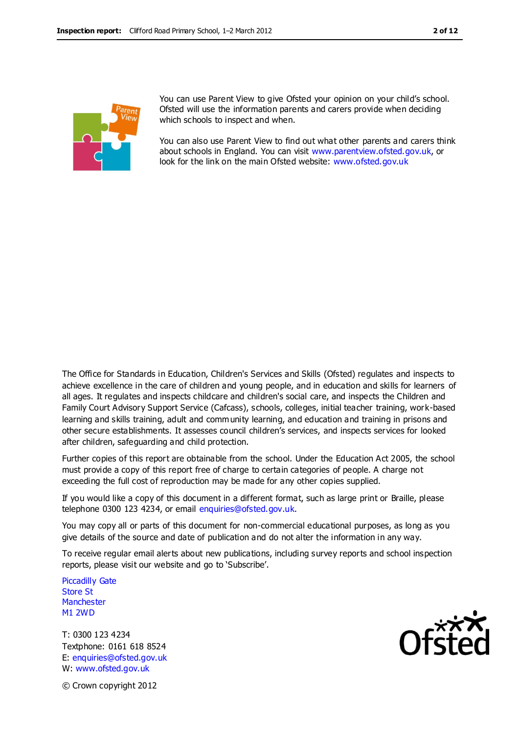

You can use Parent View to give Ofsted your opinion on your child's school. Ofsted will use the information parents and carers provide when deciding which schools to inspect and when.

You can also use Parent View to find out what other parents and carers think about schools in England. You can visit [www.parentview.ofsted.gov.uk,](http://www.parentview.ofsted.gov.uk/) or look for the link on the main Ofsted website: [www.ofsted.gov.uk](http://www.ofsted.gov.uk/)

The Office for Standards in Education, Children's Services and Skills (Ofsted) regulates and inspects to achieve excellence in the care of children and young people, and in education and skills for learners of all ages. It regulates and inspects childcare and children's social care, and inspects the Children and Family Court Advisory Support Service (Cafcass), schools, colleges, initial teacher training, work-based learning and skills training, adult and community learning, and education and training in prisons and other secure establishments. It assesses council children's services, and inspects services for looked after children, safeguarding and child protection.

Further copies of this report are obtainable from the school. Under the Education Act 2005, the school must provide a copy of this report free of charge to certain categories of people. A charge not exceeding the full cost of reproduction may be made for any other copies supplied.

If you would like a copy of this document in a different format, such as large print or Braille, please telephone 0300 123 4234, or email enquiries@ofsted.gov.uk.

You may copy all or parts of this document for non-commercial educational purposes, as long as you give details of the source and date of publication and do not alter the information in any way.

To receive regular email alerts about new publications, including survey reports and school inspection reports, please visit our website and go to 'Subscribe'.

Piccadilly Gate Store St **Manchester** M1 2WD

T: 0300 123 4234 Textphone: 0161 618 8524 E: enquiries@ofsted.gov.uk W: www.ofsted.gov.uk



© Crown copyright 2012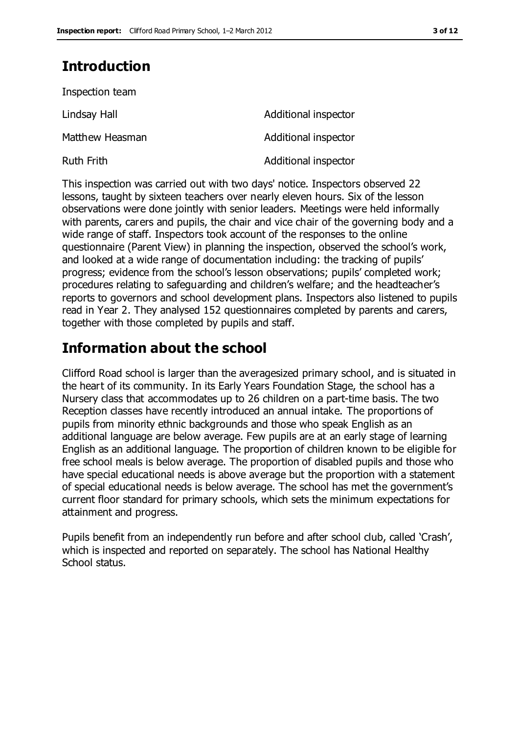# **Introduction**

| Inspection team   |                      |
|-------------------|----------------------|
| Lindsay Hall      | Additional inspector |
| Matthew Heasman   | Additional inspector |
| <b>Ruth Frith</b> | Additional inspector |

This inspection was carried out with two days' notice. Inspectors observed 22 lessons, taught by sixteen teachers over nearly eleven hours. Six of the lesson observations were done jointly with senior leaders. Meetings were held informally with parents, carers and pupils, the chair and vice chair of the governing body and a wide range of staff. Inspectors took account of the responses to the online questionnaire (Parent View) in planning the inspection, observed the school's work, and looked at a wide range of documentation including: the tracking of pupils' progress; evidence from the school's lesson observations; pupils' completed work; procedures relating to safeguarding and children's welfare; and the headteacher's reports to governors and school development plans. Inspectors also listened to pupils read in Year 2. They analysed 152 questionnaires completed by parents and carers, together with those completed by pupils and staff.

# **Information about the school**

Clifford Road school is larger than the averagesized primary school, and is situated in the heart of its community. In its Early Years Foundation Stage, the school has a Nursery class that accommodates up to 26 children on a part-time basis. The two Reception classes have recently introduced an annual intake. The proportions of pupils from minority ethnic backgrounds and those who speak English as an additional language are below average. Few pupils are at an early stage of learning English as an additional language. The proportion of children known to be eligible for free school meals is below average. The proportion of disabled pupils and those who have special educational needs is above average but the proportion with a statement of special educational needs is below average. The school has met the government's current floor standard for primary schools, which sets the minimum expectations for attainment and progress.

Pupils benefit from an independently run before and after school club, called 'Crash', which is inspected and reported on separately. The school has National Healthy School status.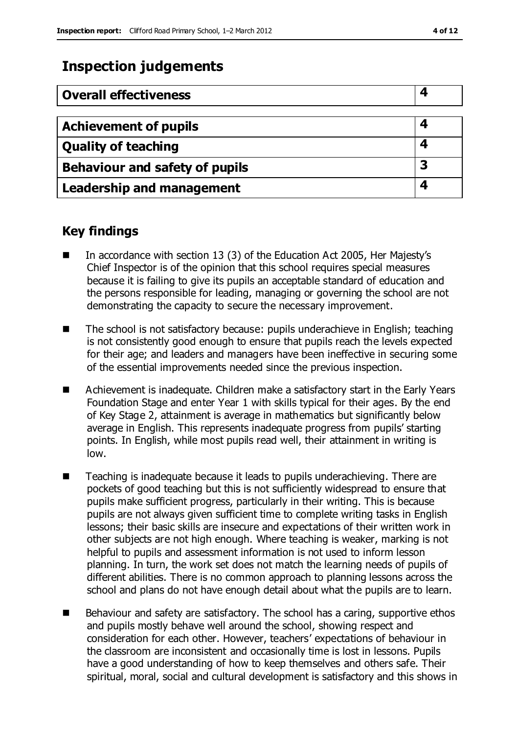# **Inspection judgements**

| <b>Overall effectiveness</b>          |  |
|---------------------------------------|--|
|                                       |  |
| <b>Achievement of pupils</b>          |  |
| <b>Quality of teaching</b>            |  |
| <b>Behaviour and safety of pupils</b> |  |
| <b>Leadership and management</b>      |  |

# **Key findings**

- In accordance with section 13 (3) of the Education Act 2005, Her Majesty's Chief Inspector is of the opinion that this school requires special measures because it is failing to give its pupils an acceptable standard of education and the persons responsible for leading, managing or governing the school are not demonstrating the capacity to secure the necessary improvement.
- The school is not satisfactory because: pupils underachieve in English; teaching is not consistently good enough to ensure that pupils reach the levels expected for their age; and leaders and managers have been ineffective in securing some of the essential improvements needed since the previous inspection.
- Achievement is inadequate. Children make a satisfactory start in the Early Years Foundation Stage and enter Year 1 with skills typical for their ages. By the end of Key Stage 2, attainment is average in mathematics but significantly below average in English. This represents inadequate progress from pupils' starting points. In English, while most pupils read well, their attainment in writing is low.
- Teaching is inadequate because it leads to pupils underachieving. There are pockets of good teaching but this is not sufficiently widespread to ensure that pupils make sufficient progress, particularly in their writing. This is because pupils are not always given sufficient time to complete writing tasks in English lessons; their basic skills are insecure and expectations of their written work in other subjects are not high enough. Where teaching is weaker, marking is not helpful to pupils and assessment information is not used to inform lesson planning. In turn, the work set does not match the learning needs of pupils of different abilities. There is no common approach to planning lessons across the school and plans do not have enough detail about what the pupils are to learn.
- Behaviour and safety are satisfactory. The school has a caring, supportive ethos and pupils mostly behave well around the school, showing respect and consideration for each other. However, teachers' expectations of behaviour in the classroom are inconsistent and occasionally time is lost in lessons. Pupils have a good understanding of how to keep themselves and others safe. Their spiritual, moral, social and cultural development is satisfactory and this shows in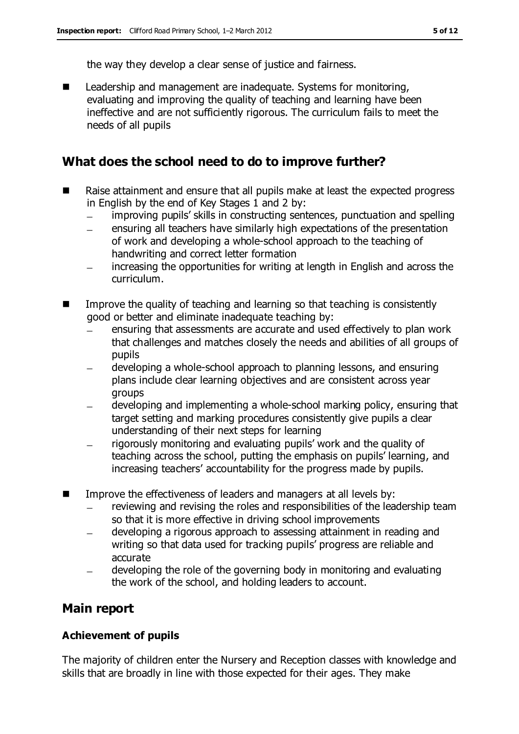the way they develop a clear sense of justice and fairness.

■ Leadership and management are inadequate. Systems for monitoring, evaluating and improving the quality of teaching and learning have been ineffective and are not sufficiently rigorous. The curriculum fails to meet the needs of all pupils

# **What does the school need to do to improve further?**

- Raise attainment and ensure that all pupils make at least the expected progress in English by the end of Key Stages 1 and 2 by:
	- improving pupils' skills in constructing sentences, punctuation and spelling  $\equiv$
	- ensuring all teachers have similarly high expectations of the presentation of work and developing a whole-school approach to the teaching of handwriting and correct letter formation
	- increasing the opportunities for writing at length in English and across the curriculum.
- $\blacksquare$  Improve the quality of teaching and learning so that teaching is consistently good or better and eliminate inadequate teaching by:
	- ensuring that assessments are accurate and used effectively to plan work that challenges and matches closely the needs and abilities of all groups of pupils
	- developing a whole-school approach to planning lessons, and ensuring  $\equiv$ plans include clear learning objectives and are consistent across year groups
	- developing and implementing a whole-school marking policy, ensuring that target setting and marking procedures consistently give pupils a clear understanding of their next steps for learning
	- rigorously monitoring and evaluating pupils' work and the quality of teaching across the school, putting the emphasis on pupils' learning, and increasing teachers' accountability for the progress made by pupils.
- Improve the effectiveness of leaders and managers at all levels by:
	- reviewing and revising the roles and responsibilities of the leadership team so that it is more effective in driving school improvements
	- developing a rigorous approach to assessing attainment in reading and writing so that data used for tracking pupils' progress are reliable and accurate
	- developing the role of the governing body in monitoring and evaluating the work of the school, and holding leaders to account.

# **Main report**

### **Achievement of pupils**

The majority of children enter the Nursery and Reception classes with knowledge and skills that are broadly in line with those expected for their ages. They make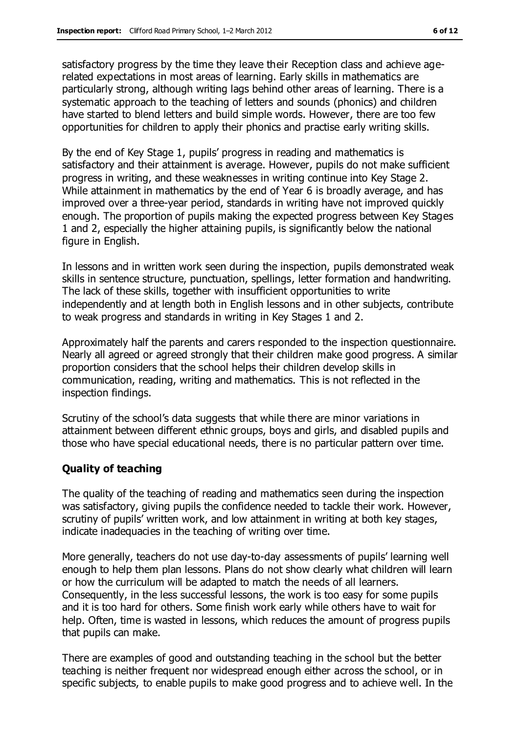satisfactory progress by the time they leave their Reception class and achieve agerelated expectations in most areas of learning. Early skills in mathematics are particularly strong, although writing lags behind other areas of learning. There is a systematic approach to the teaching of letters and sounds (phonics) and children have started to blend letters and build simple words. However, there are too few opportunities for children to apply their phonics and practise early writing skills.

By the end of Key Stage 1, pupils' progress in reading and mathematics is satisfactory and their attainment is average. However, pupils do not make sufficient progress in writing, and these weaknesses in writing continue into Key Stage 2. While attainment in mathematics by the end of Year 6 is broadly average, and has improved over a three-year period, standards in writing have not improved quickly enough. The proportion of pupils making the expected progress between Key Stages 1 and 2, especially the higher attaining pupils, is significantly below the national figure in English.

In lessons and in written work seen during the inspection, pupils demonstrated weak skills in sentence structure, punctuation, spellings, letter formation and handwriting. The lack of these skills, together with insufficient opportunities to write independently and at length both in English lessons and in other subjects, contribute to weak progress and standards in writing in Key Stages 1 and 2.

Approximately half the parents and carers responded to the inspection questionnaire. Nearly all agreed or agreed strongly that their children make good progress. A similar proportion considers that the school helps their children develop skills in communication, reading, writing and mathematics. This is not reflected in the inspection findings.

Scrutiny of the school's data suggests that while there are minor variations in attainment between different ethnic groups, boys and girls, and disabled pupils and those who have special educational needs, there is no particular pattern over time.

#### **Quality of teaching**

The quality of the teaching of reading and mathematics seen during the inspection was satisfactory, giving pupils the confidence needed to tackle their work. However, scrutiny of pupils' written work, and low attainment in writing at both key stages, indicate inadequacies in the teaching of writing over time.

More generally, teachers do not use day-to-day assessments of pupils' learning well enough to help them plan lessons. Plans do not show clearly what children will learn or how the curriculum will be adapted to match the needs of all learners. Consequently, in the less successful lessons, the work is too easy for some pupils and it is too hard for others. Some finish work early while others have to wait for help. Often, time is wasted in lessons, which reduces the amount of progress pupils that pupils can make.

There are examples of good and outstanding teaching in the school but the better teaching is neither frequent nor widespread enough either across the school, or in specific subjects, to enable pupils to make good progress and to achieve well. In the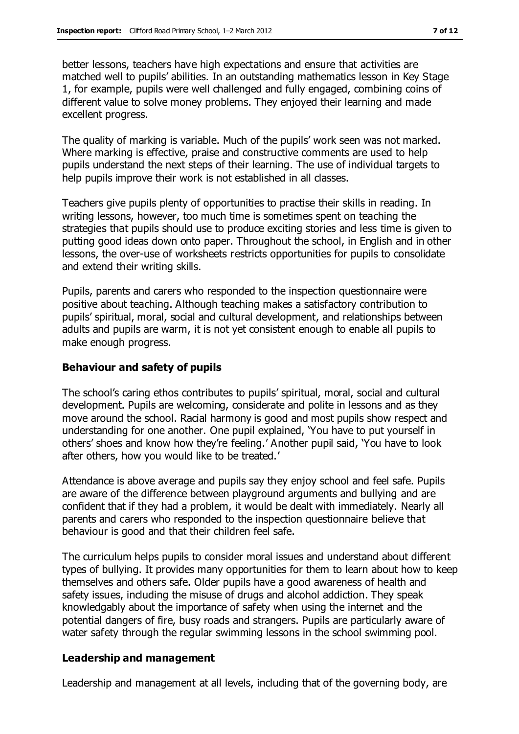better lessons, teachers have high expectations and ensure that activities are matched well to pupils' abilities. In an outstanding mathematics lesson in Key Stage 1, for example, pupils were well challenged and fully engaged, combining coins of different value to solve money problems. They enjoyed their learning and made excellent progress.

The quality of marking is variable. Much of the pupils' work seen was not marked. Where marking is effective, praise and constructive comments are used to help pupils understand the next steps of their learning. The use of individual targets to help pupils improve their work is not established in all classes.

Teachers give pupils plenty of opportunities to practise their skills in reading. In writing lessons, however, too much time is sometimes spent on teaching the strategies that pupils should use to produce exciting stories and less time is given to putting good ideas down onto paper. Throughout the school, in English and in other lessons, the over-use of worksheets restricts opportunities for pupils to consolidate and extend their writing skills.

Pupils, parents and carers who responded to the inspection questionnaire were positive about teaching. Although teaching makes a satisfactory contribution to pupils' spiritual, moral, social and cultural development, and relationships between adults and pupils are warm, it is not yet consistent enough to enable all pupils to make enough progress.

#### **Behaviour and safety of pupils**

The school's caring ethos contributes to pupils' spiritual, moral, social and cultural development. Pupils are welcoming, considerate and polite in lessons and as they move around the school. Racial harmony is good and most pupils show respect and understanding for one another. One pupil explained, 'You have to put yourself in others' shoes and know how they're feeling.' Another pupil said, 'You have to look after others, how you would like to be treated.'

Attendance is above average and pupils say they enjoy school and feel safe. Pupils are aware of the difference between playground arguments and bullying and are confident that if they had a problem, it would be dealt with immediately. Nearly all parents and carers who responded to the inspection questionnaire believe that behaviour is good and that their children feel safe.

The curriculum helps pupils to consider moral issues and understand about different types of bullying. It provides many opportunities for them to learn about how to keep themselves and others safe. Older pupils have a good awareness of health and safety issues, including the misuse of drugs and alcohol addiction. They speak knowledgably about the importance of safety when using the internet and the potential dangers of fire, busy roads and strangers. Pupils are particularly aware of water safety through the regular swimming lessons in the school swimming pool.

#### **Leadership and management**

Leadership and management at all levels, including that of the governing body, are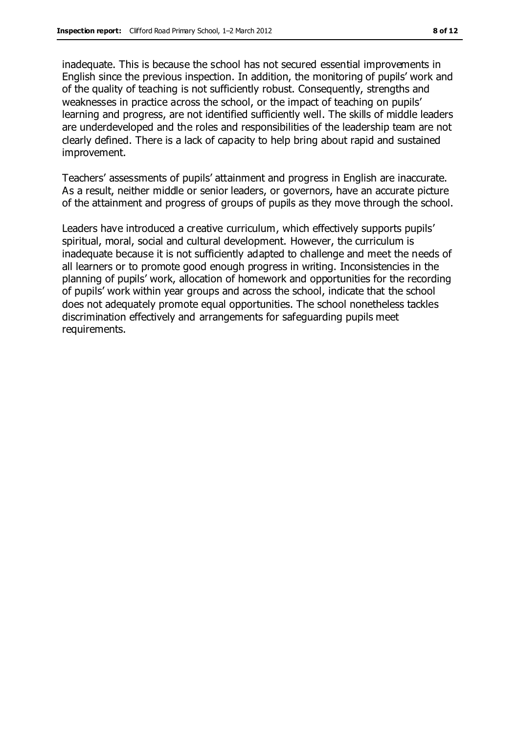inadequate. This is because the school has not secured essential improvements in English since the previous inspection. In addition, the monitoring of pupils' work and of the quality of teaching is not sufficiently robust. Consequently, strengths and weaknesses in practice across the school, or the impact of teaching on pupils' learning and progress, are not identified sufficiently well. The skills of middle leaders are underdeveloped and the roles and responsibilities of the leadership team are not clearly defined. There is a lack of capacity to help bring about rapid and sustained improvement.

Teachers' assessments of pupils' attainment and progress in English are inaccurate. As a result, neither middle or senior leaders, or governors, have an accurate picture of the attainment and progress of groups of pupils as they move through the school.

Leaders have introduced a creative curriculum, which effectively supports pupils' spiritual, moral, social and cultural development. However, the curriculum is inadequate because it is not sufficiently adapted to challenge and meet the needs of all learners or to promote good enough progress in writing. Inconsistencies in the planning of pupils' work, allocation of homework and opportunities for the recording of pupils' work within year groups and across the school, indicate that the school does not adequately promote equal opportunities. The school nonetheless tackles discrimination effectively and arrangements for safeguarding pupils meet requirements.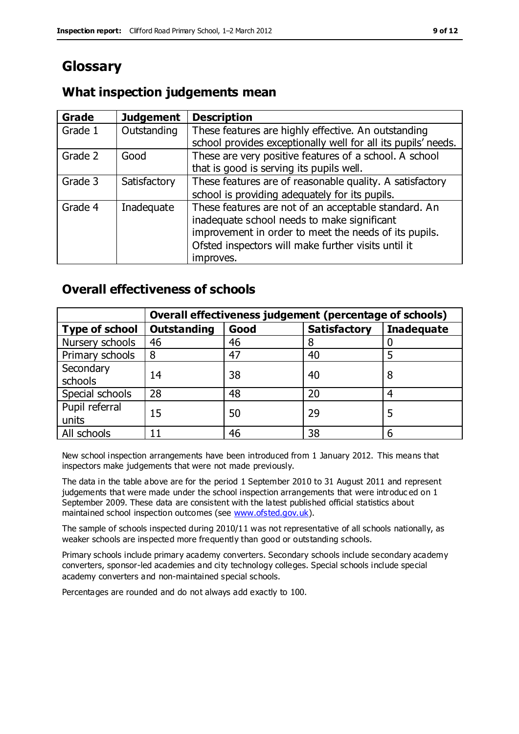# **Glossary**

# **What inspection judgements mean**

| Grade   | <b>Judgement</b> | <b>Description</b>                                                                                                                                                                                                               |
|---------|------------------|----------------------------------------------------------------------------------------------------------------------------------------------------------------------------------------------------------------------------------|
| Grade 1 | Outstanding      | These features are highly effective. An outstanding<br>school provides exceptionally well for all its pupils' needs.                                                                                                             |
| Grade 2 | Good             | These are very positive features of a school. A school<br>that is good is serving its pupils well.                                                                                                                               |
| Grade 3 | Satisfactory     | These features are of reasonable quality. A satisfactory<br>school is providing adequately for its pupils.                                                                                                                       |
| Grade 4 | Inadequate       | These features are not of an acceptable standard. An<br>inadequate school needs to make significant<br>improvement in order to meet the needs of its pupils.<br>Ofsted inspectors will make further visits until it<br>improves. |

# **Overall effectiveness of schools**

|                         | Overall effectiveness judgement (percentage of schools) |      |                     |                   |
|-------------------------|---------------------------------------------------------|------|---------------------|-------------------|
| <b>Type of school</b>   | <b>Outstanding</b>                                      | Good | <b>Satisfactory</b> | <b>Inadequate</b> |
| Nursery schools         | 46                                                      | 46   | 8                   |                   |
| Primary schools         | 8                                                       | 47   | 40                  |                   |
| Secondary<br>schools    | 14                                                      | 38   | 40                  | 8                 |
| Special schools         | 28                                                      | 48   | 20                  | 4                 |
| Pupil referral<br>units | 15                                                      | 50   | 29                  |                   |
| All schools             | 11                                                      | 46   | 38                  |                   |

New school inspection arrangements have been introduced from 1 January 2012. This means that inspectors make judgements that were not made previously.

The data in the table above are for the period 1 September 2010 to 31 August 2011 and represent judgements that were made under the school inspection arrangements that were introduc ed on 1 September 2009. These data are consistent with the latest published official statistics about maintained school inspection outcomes (see [www.ofsted.gov.uk\)](http://www.ofsted.gov.uk/).

The sample of schools inspected during 2010/11 was not representative of all schools nationally, as weaker schools are inspected more frequently than good or outstanding schools.

Primary schools include primary academy converters. Secondary schools include secondary academy converters, sponsor-led academies and city technology colleges. Special schools include special academy converters and non-maintained special schools.

Percentages are rounded and do not always add exactly to 100.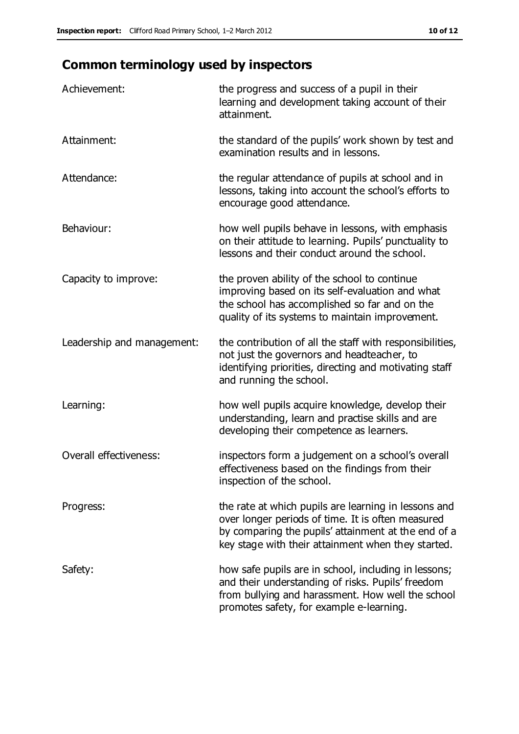# **Common terminology used by inspectors**

| Achievement:               | the progress and success of a pupil in their<br>learning and development taking account of their<br>attainment.                                                                                                        |
|----------------------------|------------------------------------------------------------------------------------------------------------------------------------------------------------------------------------------------------------------------|
| Attainment:                | the standard of the pupils' work shown by test and<br>examination results and in lessons.                                                                                                                              |
| Attendance:                | the regular attendance of pupils at school and in<br>lessons, taking into account the school's efforts to<br>encourage good attendance.                                                                                |
| Behaviour:                 | how well pupils behave in lessons, with emphasis<br>on their attitude to learning. Pupils' punctuality to<br>lessons and their conduct around the school.                                                              |
| Capacity to improve:       | the proven ability of the school to continue<br>improving based on its self-evaluation and what<br>the school has accomplished so far and on the<br>quality of its systems to maintain improvement.                    |
| Leadership and management: | the contribution of all the staff with responsibilities,<br>not just the governors and headteacher, to<br>identifying priorities, directing and motivating staff<br>and running the school.                            |
| Learning:                  | how well pupils acquire knowledge, develop their<br>understanding, learn and practise skills and are<br>developing their competence as learners.                                                                       |
| Overall effectiveness:     | inspectors form a judgement on a school's overall<br>effectiveness based on the findings from their<br>inspection of the school.                                                                                       |
| Progress:                  | the rate at which pupils are learning in lessons and<br>over longer periods of time. It is often measured<br>by comparing the pupils' attainment at the end of a<br>key stage with their attainment when they started. |
| Safety:                    | how safe pupils are in school, including in lessons;<br>and their understanding of risks. Pupils' freedom<br>from bullying and harassment. How well the school<br>promotes safety, for example e-learning.             |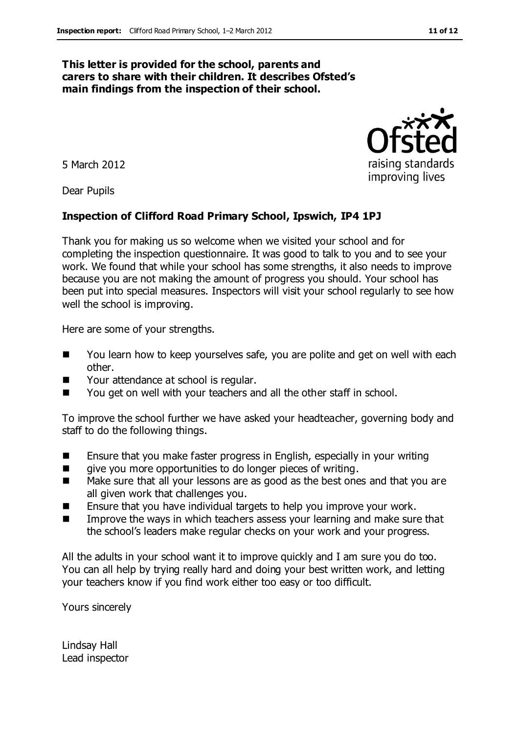#### **This letter is provided for the school, parents and carers to share with their children. It describes Ofsted's main findings from the inspection of their school.**

5 March 2012

Dear Pupils

#### **Inspection of Clifford Road Primary School, Ipswich, IP4 1PJ**

Thank you for making us so welcome when we visited your school and for completing the inspection questionnaire. It was good to talk to you and to see your work. We found that while your school has some strengths, it also needs to improve because you are not making the amount of progress you should. Your school has been put into special measures. Inspectors will visit your school regularly to see how well the school is improving.

Here are some of your strengths.

- You learn how to keep yourselves safe, you are polite and get on well with each other.
- Your attendance at school is regular.
- You get on well with your teachers and all the other staff in school.

To improve the school further we have asked your headteacher, governing body and staff to do the following things.

- Ensure that you make faster progress in English, especially in your writing
- qive you more opportunities to do longer pieces of writing.
- Make sure that all your lessons are as good as the best ones and that you are all given work that challenges you.
- **E** Ensure that you have individual targets to help you improve your work.
- Improve the ways in which teachers assess your learning and make sure that the school's leaders make regular checks on your work and your progress.

All the adults in your school want it to improve quickly and I am sure you do too. You can all help by trying really hard and doing your best written work, and letting your teachers know if you find work either too easy or too difficult.

Yours sincerely

Lindsay Hall Lead inspector